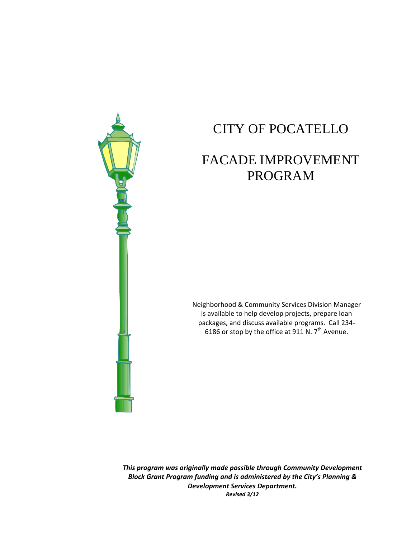

# CITY OF POCATELLO

# FACADE IMPROVEMENT PROGRAM

Neighborhood & Community Services Division Manager is available to help develop projects, prepare loan packages, and discuss available programs. Call 234‐ 6186 or stop by the office at 911 N.  $7<sup>th</sup>$  Avenue.

 *This program was originally made possible through Community Development Block Grant Program funding and is administered by the City's Planning & Development Services Department. Revised 3/12*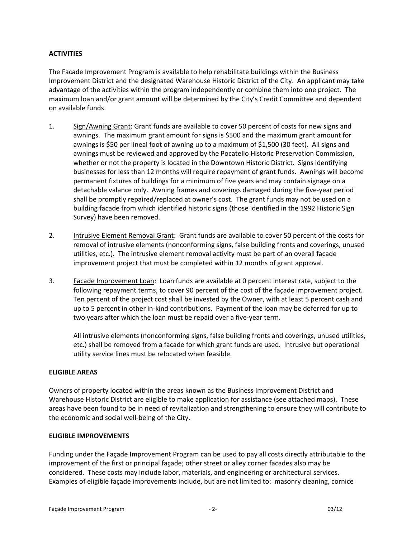# **ACTIVITIES**

The Facade Improvement Program is available to help rehabilitate buildings within the Business Improvement District and the designated Warehouse Historic District of the City. An applicant may take advantage of the activities within the program independently or combine them into one project. The maximum loan and/or grant amount will be determined by the City's Credit Committee and dependent on available funds.

- 1. Sign/Awning Grant: Grant funds are available to cover 50 percent of costs for new signs and awnings. The maximum grant amount for signs is \$500 and the maximum grant amount for awnings is \$50 per lineal foot of awning up to a maximum of \$1,500 (30 feet). All signs and awnings must be reviewed and approved by the Pocatello Historic Preservation Commission, whether or not the property is located in the Downtown Historic District. Signs identifying businesses for less than 12 months will require repayment of grant funds. Awnings will become permanent fixtures of buildings for a minimum of five years and may contain signage on a detachable valance only. Awning frames and coverings damaged during the five‐year period shall be promptly repaired/replaced at owner's cost. The grant funds may not be used on a building facade from which identified historic signs (those identified in the 1992 Historic Sign Survey) have been removed.
- 2. Intrusive Element Removal Grant: Grant funds are available to cover 50 percent of the costs for removal of intrusive elements (nonconforming signs, false building fronts and coverings, unused utilities, etc.). The intrusive element removal activity must be part of an overall facade improvement project that must be completed within 12 months of grant approval.
- 3. Facade Improvement Loan: Loan funds are available at 0 percent interest rate, subject to the following repayment terms, to cover 90 percent of the cost of the façade improvement project. Ten percent of the project cost shall be invested by the Owner, with at least 5 percent cash and up to 5 percent in other in‐kind contributions. Payment of the loan may be deferred for up to two years after which the loan must be repaid over a five‐year term.

All intrusive elements (nonconforming signs, false building fronts and coverings, unused utilities, etc.) shall be removed from a facade for which grant funds are used. Intrusive but operational utility service lines must be relocated when feasible.

## **ELIGIBLE AREAS**

Owners of property located within the areas known as the Business Improvement District and Warehouse Historic District are eligible to make application for assistance (see attached maps). These areas have been found to be in need of revitalization and strengthening to ensure they will contribute to the economic and social well‐being of the City.

#### **ELIGIBLE IMPROVEMENTS**

Funding under the Façade Improvement Program can be used to pay all costs directly attributable to the improvement of the first or principal façade; other street or alley corner facades also may be considered. These costs may include labor, materials, and engineering or architectural services. Examples of eligible façade improvements include, but are not limited to: masonry cleaning, cornice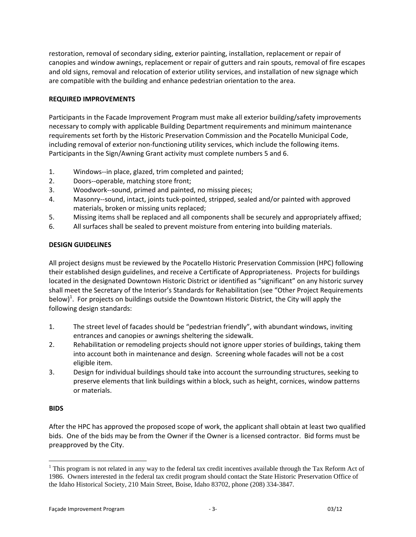restoration, removal of secondary siding, exterior painting, installation, replacement or repair of canopies and window awnings, replacement or repair of gutters and rain spouts, removal of fire escapes and old signs, removal and relocation of exterior utility services, and installation of new signage which are compatible with the building and enhance pedestrian orientation to the area.

# **REQUIRED IMPROVEMENTS**

Participants in the Facade Improvement Program must make all exterior building/safety improvements necessary to comply with applicable Building Department requirements and minimum maintenance requirements set forth by the Historic Preservation Commission and the Pocatello Municipal Code, including removal of exterior non-functioning utility services, which include the following items. Participants in the Sign/Awning Grant activity must complete numbers 5 and 6.

- 1. Windows--in place, glazed, trim completed and painted;
- 2. Doors‐‐operable, matching store front;
- 3. Woodwork‐‐sound, primed and painted, no missing pieces;
- 4. Masonry‐‐sound, intact, joints tuck‐pointed, stripped, sealed and/or painted with approved materials, broken or missing units replaced;
- 5. Missing items shall be replaced and all components shall be securely and appropriately affixed;
- 6. All surfaces shall be sealed to prevent moisture from entering into building materials.

# **DESIGN GUIDELINES**

All project designs must be reviewed by the Pocatello Historic Preservation Commission (HPC) following their established design guidelines, and receive a Certificate of Appropriateness. Projects for buildings located in the designated Downtown Historic District or identified as "significant" on any historic survey shall meet the Secretary of the Interior's Standards for Rehabilitation (see "Other Project Requirements below)<sup>1</sup>. For projects on buildings outside the Downtown Historic District, the City will apply the following design standards:

- 1. The street level of facades should be "pedestrian friendly", with abundant windows, inviting entrances and canopies or awnings sheltering the sidewalk.
- 2. Rehabilitation or remodeling projects should not ignore upper stories of buildings, taking them into account both in maintenance and design. Screening whole facades will not be a cost eligible item.
- 3. Design for individual buildings should take into account the surrounding structures, seeking to preserve elements that link buildings within a block, such as height, cornices, window patterns or materials.

## **BIDS**

 $\overline{a}$ 

After the HPC has approved the proposed scope of work, the applicant shall obtain at least two qualified bids. One of the bids may be from the Owner if the Owner is a licensed contractor. Bid forms must be preapproved by the City.

 $1$  This program is not related in any way to the federal tax credit incentives available through the Tax Reform Act of 1986. Owners interested in the federal tax credit program should contact the State Historic Preservation Office of the Idaho Historical Society, 210 Main Street, Boise, Idaho 83702, phone (208) 334-3847.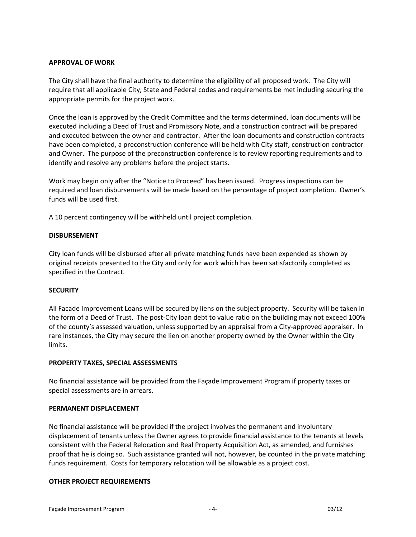### **APPROVAL OF WORK**

The City shall have the final authority to determine the eligibility of all proposed work. The City will require that all applicable City, State and Federal codes and requirements be met including securing the appropriate permits for the project work.

Once the loan is approved by the Credit Committee and the terms determined, loan documents will be executed including a Deed of Trust and Promissory Note, and a construction contract will be prepared and executed between the owner and contractor. After the loan documents and construction contracts have been completed, a preconstruction conference will be held with City staff, construction contractor and Owner. The purpose of the preconstruction conference is to review reporting requirements and to identify and resolve any problems before the project starts.

Work may begin only after the "Notice to Proceed" has been issued. Progress inspections can be required and loan disbursements will be made based on the percentage of project completion. Owner's funds will be used first.

A 10 percent contingency will be withheld until project completion.

### **DISBURSEMENT**

City loan funds will be disbursed after all private matching funds have been expended as shown by original receipts presented to the City and only for work which has been satisfactorily completed as specified in the Contract.

## **SECURITY**

All Facade Improvement Loans will be secured by liens on the subject property. Security will be taken in the form of a Deed of Trust. The post-City loan debt to value ratio on the building may not exceed 100% of the county's assessed valuation, unless supported by an appraisal from a City‐approved appraiser. In rare instances, the City may secure the lien on another property owned by the Owner within the City limits.

## **PROPERTY TAXES, SPECIAL ASSESSMENTS**

No financial assistance will be provided from the Façade Improvement Program if property taxes or special assessments are in arrears.

#### **PERMANENT DISPLACEMENT**

No financial assistance will be provided if the project involves the permanent and involuntary displacement of tenants unless the Owner agrees to provide financial assistance to the tenants at levels consistent with the Federal Relocation and Real Property Acquisition Act, as amended, and furnishes proof that he is doing so. Such assistance granted will not, however, be counted in the private matching funds requirement. Costs for temporary relocation will be allowable as a project cost.

#### **OTHER PROJECT REQUIREMENTS**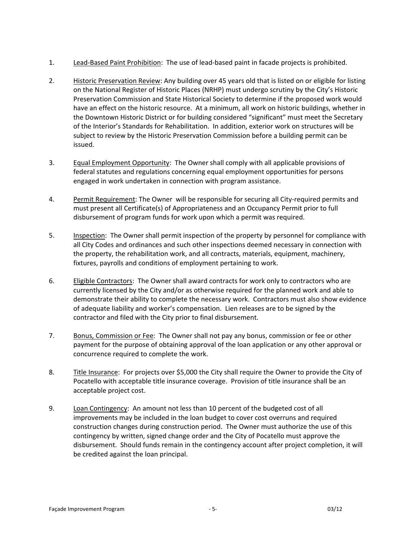- 1. Lead‐Based Paint Prohibition: The use of lead‐based paint in facade projects is prohibited.
- 2. Historic Preservation Review: Any building over 45 years old that is listed on or eligible for listing on the National Register of Historic Places (NRHP) must undergo scrutiny by the City's Historic Preservation Commission and State Historical Society to determine if the proposed work would have an effect on the historic resource. At a minimum, all work on historic buildings, whether in the Downtown Historic District or for building considered "significant" must meet the Secretary of the Interior's Standards for Rehabilitation. In addition, exterior work on structures will be subject to review by the Historic Preservation Commission before a building permit can be issued.
- 3. Equal Employment Opportunity: The Owner shall comply with all applicable provisions of federal statutes and regulations concerning equal employment opportunities for persons engaged in work undertaken in connection with program assistance.
- 4. Permit Requirement: The Owner will be responsible for securing all City‐required permits and must present all Certificate(s) of Appropriateness and an Occupancy Permit prior to full disbursement of program funds for work upon which a permit was required.
- 5. Inspection: The Owner shall permit inspection of the property by personnel for compliance with all City Codes and ordinances and such other inspections deemed necessary in connection with the property, the rehabilitation work, and all contracts, materials, equipment, machinery, fixtures, payrolls and conditions of employment pertaining to work.
- 6. Eligible Contractors: The Owner shall award contracts for work only to contractors who are currently licensed by the City and/or as otherwise required for the planned work and able to demonstrate their ability to complete the necessary work. Contractors must also show evidence of adequate liability and worker's compensation. Lien releases are to be signed by the contractor and filed with the City prior to final disbursement.
- 7. Bonus, Commission or Fee: The Owner shall not pay any bonus, commission or fee or other payment for the purpose of obtaining approval of the loan application or any other approval or concurrence required to complete the work.
- 8. Title Insurance: For projects over \$5,000 the City shall require the Owner to provide the City of Pocatello with acceptable title insurance coverage. Provision of title insurance shall be an acceptable project cost.
- 9. Loan Contingency: An amount not less than 10 percent of the budgeted cost of all improvements may be included in the loan budget to cover cost overruns and required construction changes during construction period. The Owner must authorize the use of this contingency by written, signed change order and the City of Pocatello must approve the disbursement. Should funds remain in the contingency account after project completion, it will be credited against the loan principal.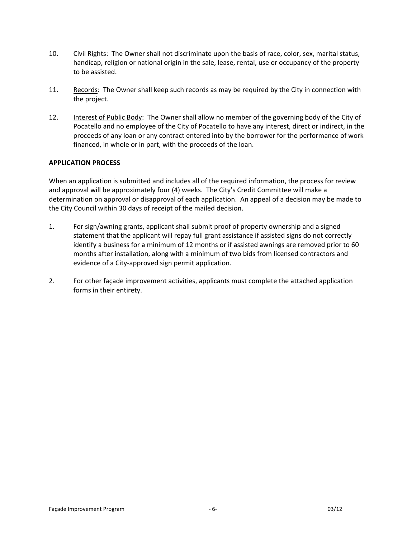- 10. Civil Rights: The Owner shall not discriminate upon the basis of race, color, sex, marital status, handicap, religion or national origin in the sale, lease, rental, use or occupancy of the property to be assisted.
- 11. Records: The Owner shall keep such records as may be required by the City in connection with the project.
- 12. Interest of Public Body: The Owner shall allow no member of the governing body of the City of Pocatello and no employee of the City of Pocatello to have any interest, direct or indirect, in the proceeds of any loan or any contract entered into by the borrower for the performance of work financed, in whole or in part, with the proceeds of the loan.

## **APPLICATION PROCESS**

When an application is submitted and includes all of the required information, the process for review and approval will be approximately four (4) weeks. The City's Credit Committee will make a determination on approval or disapproval of each application. An appeal of a decision may be made to the City Council within 30 days of receipt of the mailed decision.

- 1. For sign/awning grants, applicant shall submit proof of property ownership and a signed statement that the applicant will repay full grant assistance if assisted signs do not correctly identify a business for a minimum of 12 months or if assisted awnings are removed prior to 60 months after installation, along with a minimum of two bids from licensed contractors and evidence of a City‐approved sign permit application.
- 2. For other façade improvement activities, applicants must complete the attached application forms in their entirety.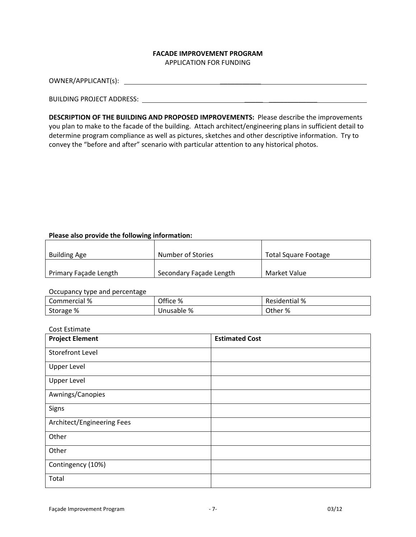#### **FACADE IMPROVEMENT PROGRAM** APPLICATION FOR FUNDING

OWNER/APPLICANT(s): \_\_\_\_\_\_\_\_\_\_\_

#### BUILDING PROJECT ADDRESS: \_\_\_\_\_ \_\_\_\_\_\_\_\_\_\_\_\_\_

**DESCRIPTION OF THE BUILDING AND PROPOSED IMPROVEMENTS:** Please describe the improvements you plan to make to the facade of the building. Attach architect/engineering plans in sufficient detail to determine program compliance as well as pictures, sketches and other descriptive information. Try to convey the "before and after" scenario with particular attention to any historical photos.

## **Please also provide the following information:**

| <b>Building Age</b>          | Number of Stories       | Total Square Footage |
|------------------------------|-------------------------|----------------------|
| <b>Primary Facade Length</b> | Secondary Façade Length | Market Value         |

#### Occupancy type and percentage

| .            |            |                      |
|--------------|------------|----------------------|
| Commercial % | Office %   | <b>Residential %</b> |
| Storage %    | Unusable % | Other %              |

#### Cost Estimate

| <b>Project Element</b>     | <b>Estimated Cost</b> |
|----------------------------|-----------------------|
| <b>Storefront Level</b>    |                       |
| <b>Upper Level</b>         |                       |
| <b>Upper Level</b>         |                       |
| Awnings/Canopies           |                       |
| Signs                      |                       |
| Architect/Engineering Fees |                       |
| Other                      |                       |
| Other                      |                       |
| Contingency (10%)          |                       |
| Total                      |                       |